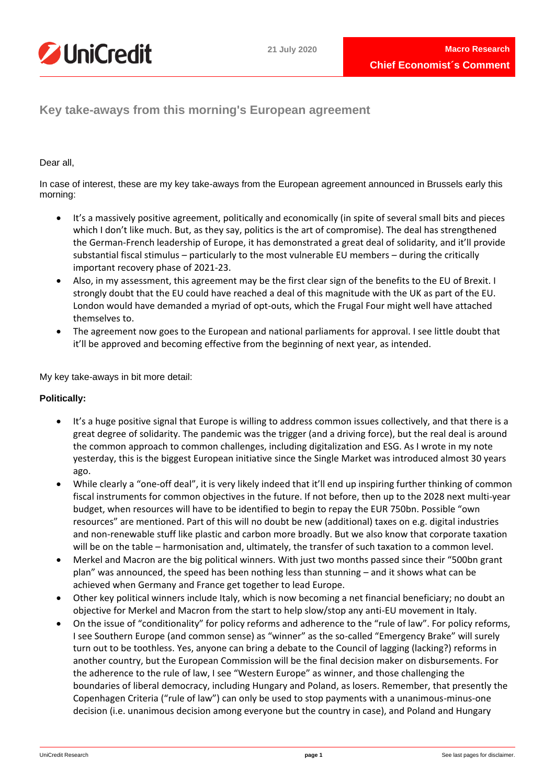



**Key take-aways from this morning's European agreement**

# Dear all,

In case of interest, these are my key take-aways from the European agreement announced in Brussels early this morning:

- It's a massively positive agreement, politically and economically (in spite of several small bits and pieces which I don't like much. But, as they say, politics is the art of compromise). The deal has strengthened the German-French leadership of Europe, it has demonstrated a great deal of solidarity, and it'll provide substantial fiscal stimulus – particularly to the most vulnerable EU members – during the critically important recovery phase of 2021-23.
- Also, in my assessment, this agreement may be the first clear sign of the benefits to the EU of Brexit. I strongly doubt that the EU could have reached a deal of this magnitude with the UK as part of the EU. London would have demanded a myriad of opt-outs, which the Frugal Four might well have attached themselves to.
- The agreement now goes to the European and national parliaments for approval. I see little doubt that it'll be approved and becoming effective from the beginning of next year, as intended.

My key take-aways in bit more detail:

# **Politically:**

- It's a huge positive signal that Europe is willing to address common issues collectively, and that there is a great degree of solidarity. The pandemic was the trigger (and a driving force), but the real deal is around the common approach to common challenges, including digitalization and ESG. As I wrote in my note yesterday, this is the biggest European initiative since the Single Market was introduced almost 30 years ago.
- While clearly a "one-off deal", it is very likely indeed that it'll end up inspiring further thinking of common fiscal instruments for common objectives in the future. If not before, then up to the 2028 next multi-year budget, when resources will have to be identified to begin to repay the EUR 750bn. Possible "own resources" are mentioned. Part of this will no doubt be new (additional) taxes on e.g. digital industries and non-renewable stuff like plastic and carbon more broadly. But we also know that corporate taxation will be on the table – harmonisation and, ultimately, the transfer of such taxation to a common level.
- Merkel and Macron are the big political winners. With just two months passed since their "500bn grant plan" was announced, the speed has been nothing less than stunning – and it shows what can be achieved when Germany and France get together to lead Europe.
- Other key political winners include Italy, which is now becoming a net financial beneficiary; no doubt an objective for Merkel and Macron from the start to help slow/stop any anti-EU movement in Italy.
- On the issue of "conditionality" for policy reforms and adherence to the "rule of law". For policy reforms, I see Southern Europe (and common sense) as "winner" as the so-called "Emergency Brake" will surely turn out to be toothless. Yes, anyone can bring a debate to the Council of lagging (lacking?) reforms in another country, but the European Commission will be the final decision maker on disbursements. For the adherence to the rule of law, I see "Western Europe" as winner, and those challenging the boundaries of liberal democracy, including Hungary and Poland, as losers. Remember, that presently the Copenhagen Criteria ("rule of law") can only be used to stop payments with a unanimous-minus-one decision (i.e. unanimous decision among everyone but the country in case), and Poland and Hungary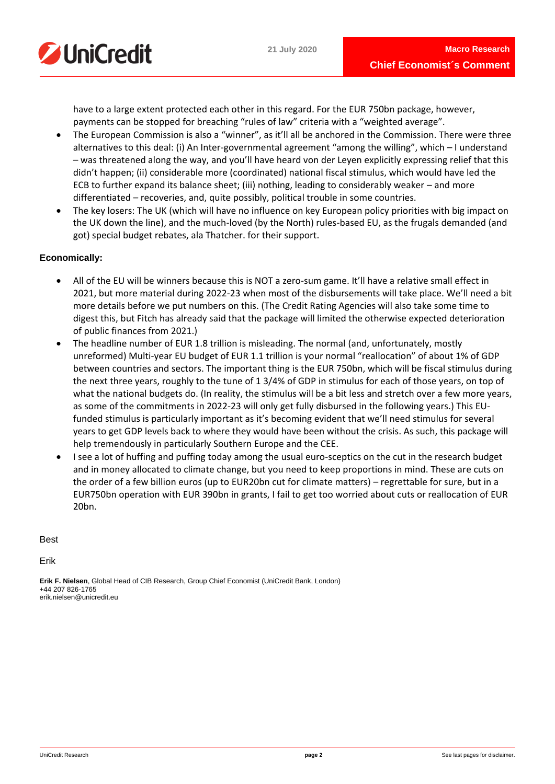

have to a large extent protected each other in this regard. For the EUR 750bn package, however, payments can be stopped for breaching "rules of law" criteria with a "weighted average".

- The European Commission is also a "winner", as it'll all be anchored in the Commission. There were three alternatives to this deal: (i) An Inter-governmental agreement "among the willing", which – I understand – was threatened along the way, and you'll have heard von der Leyen explicitly expressing relief that this didn't happen; (ii) considerable more (coordinated) national fiscal stimulus, which would have led the ECB to further expand its balance sheet; (iii) nothing, leading to considerably weaker – and more differentiated – recoveries, and, quite possibly, political trouble in some countries.
- The key losers: The UK (which will have no influence on key European policy priorities with big impact on the UK down the line), and the much-loved (by the North) rules-based EU, as the frugals demanded (and got) special budget rebates, ala Thatcher. for their support.

# **Economically:**

- All of the EU will be winners because this is NOT a zero-sum game. It'll have a relative small effect in 2021, but more material during 2022-23 when most of the disbursements will take place. We'll need a bit more details before we put numbers on this. (The Credit Rating Agencies will also take some time to digest this, but Fitch has already said that the package will limited the otherwise expected deterioration of public finances from 2021.)
- The headline number of EUR 1.8 trillion is misleading. The normal (and, unfortunately, mostly unreformed) Multi-year EU budget of EUR 1.1 trillion is your normal "reallocation" of about 1% of GDP between countries and sectors. The important thing is the EUR 750bn, which will be fiscal stimulus during the next three years, roughly to the tune of 1 3/4% of GDP in stimulus for each of those years, on top of what the national budgets do. (In reality, the stimulus will be a bit less and stretch over a few more years, as some of the commitments in 2022-23 will only get fully disbursed in the following years.) This EUfunded stimulus is particularly important as it's becoming evident that we'll need stimulus for several years to get GDP levels back to where they would have been without the crisis. As such, this package will help tremendously in particularly Southern Europe and the CEE.
- I see a lot of huffing and puffing today among the usual euro-sceptics on the cut in the research budget and in money allocated to climate change, but you need to keep proportions in mind. These are cuts on the order of a few billion euros (up to EUR20bn cut for climate matters) – regrettable for sure, but in a EUR750bn operation with EUR 390bn in grants, I fail to get too worried about cuts or reallocation of EUR 20bn.

Best

Erik

**Erik F. Nielsen**, Global Head of CIB Research, Group Chief Economist (UniCredit Bank, London) +44 207 826-1765 erik.nielsen@unicredit.eu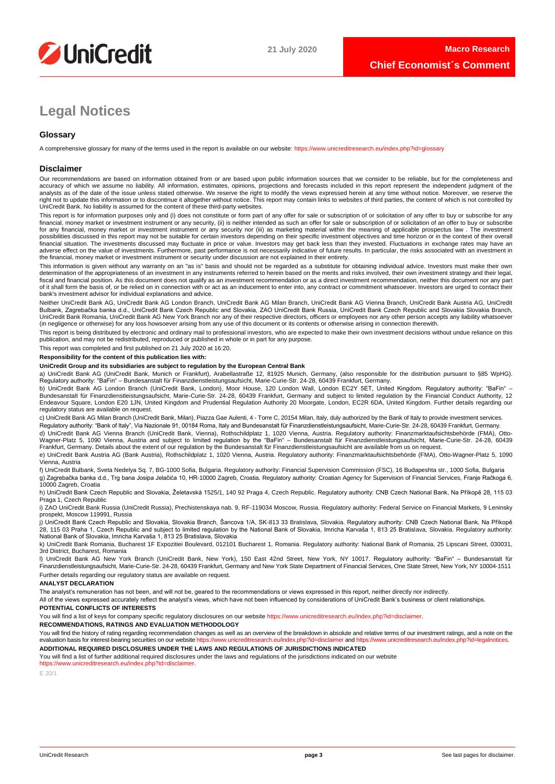

# **Legal Notices**

## **Glossary**

A comprehensive glossary for many of the terms used in the report is available on our website:<https://www.unicreditresearch.eu/index.php?id=glossary>

#### **Disclaimer**

Our recommendations are based on information obtained from or are based upon public information sources that we consider to be reliable, but for the completeness and<br>accuracy of which we assume no liability. All informatio analysts as of the date of the issue unless stated otherwise. We reserve the right to modify the views expressed herein at any time without notice. Moreover, we reserve the right not to update this information or to discontinue it altogether without notice. This report may contain links to websites of third parties, the content of which is not controlled by<br>UniCredit Bank. No liability is ass

This report is for information purposes only and (i) does not constitute or form part of any offer for sale or subscription of or solicitation of any offer to buy or subscribe for any<br>financial, money market or investment for any financial, money market or investment instrument or any security nor (iii) as marketing material within the meaning of applicable prospectus law . The investment possibilities discussed in this report may not be suitable for certain investors depending on their specific investment objectives and time horizon or in the context of their overall<br>financial situation. The investments di adverse effect on the value of investments. Furthermore, past performance is not necessarily indicative of future results. In particular, the risks associated with an investment in the financial, money market or investment instrument or security under discussion are not explained in their entirety.

This information is given without any warranty on an "as is" basis and should not be regarded as a substitute for obtaining individual advice. Investors must make their own determination of the appropriateness of an investment in any instruments referred to herein based on the merits and risks involved, their own investment strategy and their legal, fiscal and financial position. As this document does not qualify as an investment recommendation or as a direct investment recommendation, neither this document nor any part of it shall form the basis of, or be relied on in connection with or act as an inducement to enter into, any contract or commitment whatsoever. Investors are urged to contact their bank's investment advisor for individual explanations and advice.

Neither UniCredit Bank AG, UniCredit Bank AG London Branch, UniCredit Bank AG Milan Branch, UniCredit Bank AG Vienna Branch, UniCredit Bank Austria AG, UniCredit Bulbank, Zagrebačka banka d.d., UniCredit Bank Czech Republic and Slovakia, ZAO UniCredit Bank Russia, UniCredit Bank Czech Republic and Slovakia Slovakia Branch,<br>UniCredit Bank Romania, UniCredit Bank AG New York Branch n (in negligence or otherwise) for any loss howsoever arising from any use of this document or its contents or otherwise arising in connection therewith.

This report is being distributed by electronic and ordinary mail to professional investors, who are expected to make their own investment decisions without undue reliance on this publication, and may not be redistributed, reproduced or published in whole or in part for any purpose.

This report was completed and first published on 21 July 2020 at 16:20.

### **Responsibility for the content of this publication lies with:**

#### **UniCredit Group and its subsidiaries are subject to regulation by the European Central Bank**

a) UniCredit Bank AG (UniCredit Bank, Munich or Frankfurt), Arabellastraße 12, 81925 Munich, Germany, (also responsible for the distribution pursuant to §85 WpHG). Regulatory authority: "BaFin" – Bundesanstalt für Finanzdienstleistungsaufsicht, Marie-Curie-Str. 24-28, 60439 Frankfurt, Germany.

b) UniCredit Bank AG London Branch (UniCredit Bank, London), Moor House, 120 London Wall, London EC2Y 5ET, United Kingdom. Regulatory authority: "BaFin" –<br>Bundesanstalt für Finanzdienstleistungsaufsicht, Marie-Curie-Str. 2 regulatory status are available on request.

c) UniCredit Bank AG Milan Branch (UniCredit Bank, Milan), Piazza Gae Aulenti, 4 - Torre C, 20154 Milan, Italy, duly authorized by the Bank of Italy to provide investment services. Regulatory authority: "Bank of Italy", Via Nazionale 91, 00184 Roma, Italy and Bundesanstalt für Finanzdienstleistungsaufsicht, Marie-Curie-Str. 24-28, 60439 Frankfurt, Germany.

d) UniCredit Bank AG Vienna Branch (UniCredit Bank, Vienna), Rothschildplatz 1, 1020 Vienna, Austria. Regulatory authority: Finanzmarktaufsichtsbehörde (FMA), Otto-Wagner-Platz 5, 1090 Vienna, Austria and subject to limited regulation by the "BaFin" – Bundesanstalt für Finanzdienstleistungsaufsicht, Marie-Curie-Str. 24-28, 60439<br>Frankfurt, Germany. Details about the extent of our reg

e) UniCredit Bank Austria AG (Bank Austria), Rothschildplatz 1, 1020 Vienna, Austria. Regulatory authority: Finanzmarktaufsichtsbehörde (FMA), Otto-Wagner-Platz 5, 1090 Vienna, Austria

f) UniCredit Bulbank, Sveta Nedelya Sq. 7, BG-1000 Sofia, Bulgaria. Regulatory authority: Financial Supervision Commission (FSC), 16 Budapeshta str., 1000 Sofia, Bulgaria g) Zagrebačka banka d.d., Trg bana Josipa Jelačića 10, HR-10000 Zagreb, Croatia. Regulatory authority: Croatian Agency for Supervision of Financial Services, Franje Račkoga 6, 10000 Zagreb, Croatia

h) UniCredit Bank Czech Republic and Slovakia, Želetavská 1525/1, 140 92 Praga 4, Czech Republic. Regulatory authority: CNB Czech National Bank, Na Příkopě 28, 115 03 Praga 1, Czech Republic

i) ZAO UniCredit Bank Russia (UniCredit Russia), Prechistenskaya nab. 9, RF-119034 Moscow, Russia. Regulatory authority: Federal Service on Financial Markets, 9 Leninsky prospekt, Moscow 119991, Russia

j) UniCredit Bank Czech Republic and Slovakia, Slovakia Branch, Šancova 1/A, SK-813 33 Bratislava, Slovakia. Regulatory authority: CNB Czech National Bank, Na Příkopě 28, 115 03 Praha 1, Czech Republic and subject to limited regulation by the National Bank of Slovakia, Imricha Karvaša 1, 813 25 Bratislava, Slovakia. Regulatory authority:<br>National Bank of Slovakia, Imricha Karvaša 1, 813

k) UniCredit Bank Romania, Bucharest 1F Expozitiei Boulevard, 012101 Bucharest 1, Romania. Regulatory authority: National Bank of Romania, 25 Lipscani Street, 030031, 3rd District, Bucharest, Romania

l) UniCredit Bank AG New York Branch (UniCredit Bank, New York), 150 East 42nd Street, New York, NY 10017. Regulatory authority: "BaFin" – Bundesanstalt für Finanzdienstleistungsaufsicht, Marie-Curie-Str. 24-28, 60439 Frankfurt, Germany and New York State Department of Financial Services, One State Street, New York, NY 10004-1511 Further details regarding our regulatory status are available on request.

#### **ANALYST DECLARATION**

The analyst's remuneration has not been, and will not be, geared to the recommendations or views expressed in this report, neither directly nor indirectly.

All of the views expressed accurately reflect the analyst's views, which have not been influenced by considerations of UniCredit Bank's business or client relationships.

#### **POTENTIAL CONFLICTS OF INTERESTS**

You will find a list of keys for company specific regulatory disclosures on our website https://www.unicreditresearch.eu/index.php?id=disclaimer

#### **RECOMMENDATIONS, RATINGS AND EVALUATION METHODOLOGY**

You will find the history of rating regarding recommendation changes as well as an overview of the breakdown in absolute and relative terms of our investment ratings, and a note on the evaluation basis for interest-bearing evaluation basis for interest-bearing securities on our website https://www.unicreditresearch.eu **ADDITIONAL REQUIRED DISCLOSURES UNDER THE LAWS AND REGULATIONS OF JURISDICTIONS INDICATED**

You will find a list of further additional required disclosures under the laws and regulations of the jurisdictions indicated on our website

[https://www.unicreditresearch.eu/index.php?id=disclaimer.](https://www.unicreditresearch.eu/index.php?id=disclaimer) 

E 20/1